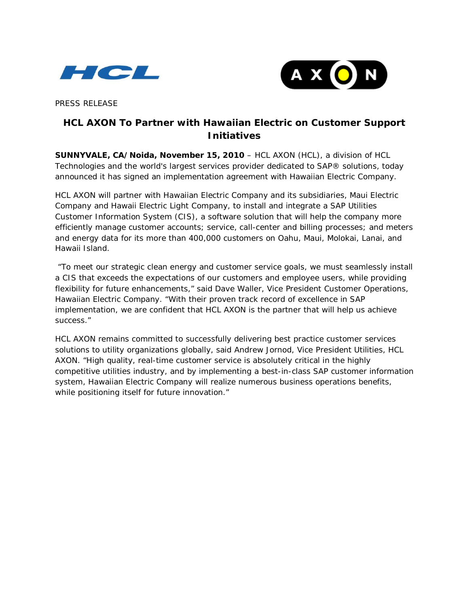



PRESS RELEASE

# **HCL AXON To Partner with Hawaiian Electric on Customer Support Initiatives**

**SUNNYVALE, CA/Noida, November 15, 2010** – HCL AXON (HCL), a division of HCL Technologies and the world's largest services provider dedicated to SAP® solutions, today announced it has signed an implementation agreement with Hawaiian Electric Company.

HCL AXON will partner with Hawaiian Electric Company and its subsidiaries, Maui Electric Company and Hawaii Electric Light Company, to install and integrate a SAP Utilities Customer Information System (CIS), a software solution that will help the company more efficiently manage customer accounts; service, call-center and billing processes; and meters and energy data for its more than 400,000 customers on Oahu, Maui, Molokai, Lanai, and Hawaii Island.

"To meet our strategic clean energy and customer service goals, we must seamlessly install a CIS that exceeds the expectations of our customers and employee users, while providing flexibility for future enhancements," said Dave Waller, Vice President Customer Operations, Hawaiian Electric Company. "With their proven track record of excellence in SAP implementation, we are confident that HCL AXON is the partner that will help us achieve success."

HCL AXON remains committed to successfully delivering best practice customer services solutions to utility organizations globally, said Andrew Jornod, Vice President Utilities, HCL AXON. "High quality, real-time customer service is absolutely critical in the highly competitive utilities industry, and by implementing a best-in-class SAP customer information system, Hawaiian Electric Company will realize numerous business operations benefits, while positioning itself for future innovation."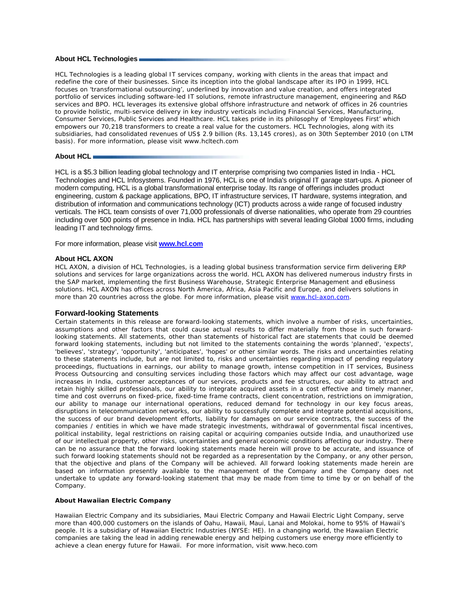#### **About HCL Technologies**

HCL Technologies is a leading global IT services company, working with clients in the areas that impact and redefine the core of their businesses. Since its inception into the global landscape after its IPO in 1999, HCL focuses on 'transformational outsourcing', underlined by innovation and value creation, and offers integrated portfolio of services including software-led IT solutions, remote infrastructure management, engineering and R&D services and BPO. HCL leverages its extensive global offshore infrastructure and network of offices in 26 countries to provide holistic, multi-service delivery in key industry verticals including Financial Services, Manufacturing, Consumer Services, Public Services and Healthcare. HCL takes pride in its philosophy of 'Employees First' which empowers our 70,218 transformers to create a real value for the customers. HCL Technologies, along with its subsidiaries, had consolidated revenues of US\$ 2.9 billion (Rs. 13,145 crores), as on 30th September 2010 (on LTM basis). For more information, please visit www.hcltech.com

#### **About HCL**

HCL is a \$5.3 billion leading global technology and IT enterprise comprising two companies listed in India - HCL Technologies and HCL Infosystems. Founded in 1976, HCL is one of India's original IT garage start-ups. A pioneer of modern computing, HCL is a global transformational enterprise today. Its range of offerings includes product engineering, custom & package applications, BPO, IT infrastructure services, IT hardware, systems integration, and distribution of information and communications technology (ICT) products across a wide range of focused industry verticals. The HCL team consists of over 71,000 professionals of diverse nationalities, who operate from 29 countries including over 500 points of presence in India. HCL has partnerships with several leading Global 1000 firms, including leading IT and technology firms.

For more information, please visit **[www.hcl.com](http://www.hcl.com/)**

#### **About HCL AXON**

HCL AXON, a division of HCL Technologies, is a leading global business transformation service firm delivering ERP solutions and services for large organizations across the world. HCL AXON has delivered numerous industry firsts in the SAP market, implementing the first Business Warehouse, Strategic Enterprise Management and eBusiness solutions. HCL AXON has offices across North America, Africa, Asia Pacific and Europe, and delivers solutions in more than 20 countries across the globe. For more information, please visit www.hcl-axon.com.

#### **Forward-looking Statements**

Certain statements in this release are forward-looking statements, which involve a number of risks, uncertainties, assumptions and other factors that could cause actual results to differ materially from those in such forwardlooking statements. All statements, other than statements of historical fact are statements that could be deemed forward looking statements, including but not limited to the statements containing the words 'planned', 'expects', 'believes', 'strategy', 'opportunity', 'anticipates', 'hopes' or other similar words. The risks and uncertainties relating to these statements include, but are not limited to, risks and uncertainties regarding impact of pending regulatory proceedings, fluctuations in earnings, our ability to manage growth, intense competition in IT services, Business Process Outsourcing and consulting services including those factors which may affect our cost advantage, wage increases in India, customer acceptances of our services, products and fee structures, our ability to attract and retain highly skilled professionals, our ability to integrate acquired assets in a cost effective and timely manner, time and cost overruns on fixed-price, fixed-time frame contracts, client concentration, restrictions on immigration, our ability to manage our international operations, reduced demand for technology in our key focus areas, disruptions in telecommunication networks, our ability to successfully complete and integrate potential acquisitions, the success of our brand development efforts, liability for damages on our service contracts, the success of the companies / entities in which we have made strategic investments, withdrawal of governmental fiscal incentives, political instability, legal restrictions on raising capital or acquiring companies outside India, and unauthorized use of our intellectual property, other risks, uncertainties and general economic conditions affecting our industry. There can be no assurance that the forward looking statements made herein will prove to be accurate, and issuance of such forward looking statements should not be regarded as a representation by the Company, or any other person, that the objective and plans of the Company will be achieved. All forward looking statements made herein are based on information presently available to the management of the Company and the Company does not undertake to update any forward-looking statement that may be made from time to time by or on behalf of the Company.

### **About Hawaiian Electric Company**

Hawaiian Electric Company and its subsidiaries, Maui Electric Company and Hawaii Electric Light Company, serve more than 400,000 customers on the islands of Oahu, Hawaii, Maui, Lanai and Molokai, home to 95% of Hawaii's people. It is a subsidiary of Hawaiian Electric Industries (NYSE: HE). In a changing world, the Hawaiian Electric companies are taking the lead in adding renewable energy and helping customers use energy more efficiently to achieve a clean energy future for Hawaii. For more information, visit www.heco.com